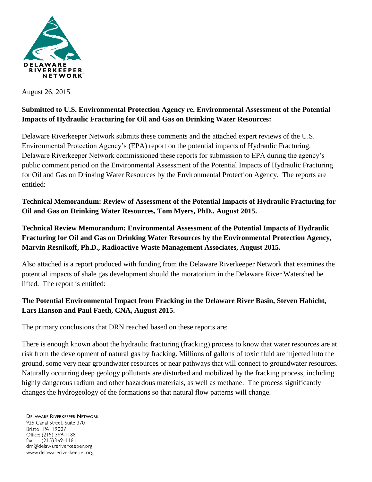

August 26, 2015

## **Submitted to U.S. Environmental Protection Agency re. Environmental Assessment of the Potential Impacts of Hydraulic Fracturing for Oil and Gas on Drinking Water Resources:**

Delaware Riverkeeper Network submits these comments and the attached expert reviews of the U.S. Environmental Protection Agency's (EPA) report on the potential impacts of Hydraulic Fracturing. Delaware Riverkeeper Network commissioned these reports for submission to EPA during the agency's public comment period on the Environmental Assessment of the Potential Impacts of Hydraulic Fracturing for Oil and Gas on Drinking Water Resources by the Environmental Protection Agency. The reports are entitled:

**Technical Memorandum: Review of Assessment of the Potential Impacts of Hydraulic Fracturing for Oil and Gas on Drinking Water Resources, Tom Myers, PhD., August 2015.**

**Technical Review Memorandum: Environmental Assessment of the Potential Impacts of Hydraulic Fracturing for Oil and Gas on Drinking Water Resources by the Environmental Protection Agency, Marvin Resnikoff, Ph.D., Radioactive Waste Management Associates, August 2015.**

Also attached is a report produced with funding from the Delaware Riverkeeper Network that examines the potential impacts of shale gas development should the moratorium in the Delaware River Watershed be lifted. The report is entitled:

## **The Potential Environmental Impact from Fracking in the Delaware River Basin, Steven Habicht, Lars Hanson and Paul Faeth, CNA, August 2015.**

The primary conclusions that DRN reached based on these reports are:

There is enough known about the hydraulic fracturing (fracking) process to know that water resources are at risk from the development of natural gas by fracking. Millions of gallons of toxic fluid are injected into the ground, some very near groundwater resources or near pathways that will connect to groundwater resources. Naturally occurring deep geology pollutants are disturbed and mobilized by the fracking process, including highly dangerous radium and other hazardous materials, as well as methane. The process significantly changes the hydrogeology of the formations so that natural flow patterns will change.

**DELAWARE RIVERKEEPER NETWORK** 925 Canal Street, Suite 3701 Bristol, PA 19007 Office: (215) 369-1188  $(215)369 - 1181$ fax: drn@delawareriverkeeper.org www.delawareriverkeeper.org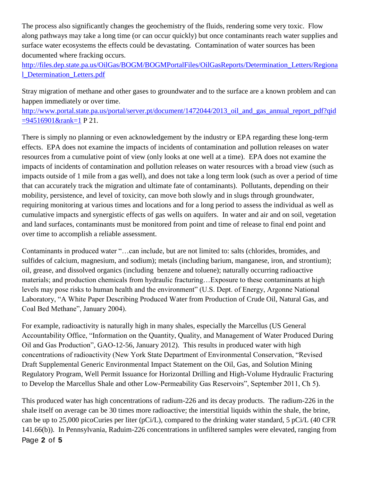The process also significantly changes the geochemistry of the fluids, rendering some very toxic. Flow along pathways may take a long time (or can occur quickly) but once contaminants reach water supplies and surface water ecosystems the effects could be devastating. Contamination of water sources has been documented where fracking occurs.

[http://files.dep.state.pa.us/OilGas/BOGM/BOGMPortalFiles/OilGasReports/Determination\\_Letters/Regiona](http://files.dep.state.pa.us/OilGas/BOGM/BOGMPortalFiles/OilGasReports/Determination_Letters/Regional_Determination_Letters.pdf) [l\\_Determination\\_Letters.pdf](http://files.dep.state.pa.us/OilGas/BOGM/BOGMPortalFiles/OilGasReports/Determination_Letters/Regional_Determination_Letters.pdf)

Stray migration of methane and other gases to groundwater and to the surface are a known problem and can happen immediately or over time.

http://www.portal.state.pa.us/portal/server.pt/document/1472044/2013 oil and gas annual report pdf?qid [=94516901&rank=1](http://www.portal.state.pa.us/portal/server.pt/document/1472044/2013_oil_and_gas_annual_report_pdf?qid=94516901&rank=1) P 21.

There is simply no planning or even acknowledgement by the industry or EPA regarding these long-term effects. EPA does not examine the impacts of incidents of contamination and pollution releases on water resources from a cumulative point of view (only looks at one well at a time). EPA does not examine the impacts of incidents of contamination and pollution releases on water resources with a broad view (such as impacts outside of 1 mile from a gas well), and does not take a long term look (such as over a period of time that can accurately track the migration and ultimate fate of contaminants). Pollutants, depending on their mobility, persistence, and level of toxicity, can move both slowly and in slugs through groundwater, requiring monitoring at various times and locations and for a long period to assess the individual as well as cumulative impacts and synergistic effects of gas wells on aquifers. In water and air and on soil, vegetation and land surfaces, contaminants must be monitored from point and time of release to final end point and over time to accomplish a reliable assessment.

Contaminants in produced water "…can include, but are not limited to: salts (chlorides, bromides, and sulfides of calcium, magnesium, and sodium); metals (including barium, manganese, iron, and strontium); oil, grease, and dissolved organics (including benzene and toluene); naturally occurring radioactive materials; and production chemicals from hydraulic fracturing…Exposure to these contaminants at high levels may pose risks to human health and the environment" (U.S. Dept. of Energy, Argonne National Laboratory, "A White Paper Describing Produced Water from Production of Crude Oil, Natural Gas, and Coal Bed Methane", January 2004).

For example, radioactivity is naturally high in many shales, especially the Marcellus (US General Accountability Office, "Information on the Quantity, Quality, and Management of Water Produced During Oil and Gas Production", GAO-12-56, January 2012). This results in produced water with high concentrations of radioactivity (New York State Department of Environmental Conservation, "Revised Draft Supplemental Generic Environmental Impact Statement on the Oil, Gas, and Solution Mining Regulatory Program, Well Permit Issuance for Horizontal Drilling and High-Volume Hydraulic Fracturing to Develop the Marcellus Shale and other Low-Permeability Gas Reservoirs", September 2011, Ch 5).

Page **2** of **5** This produced water has high concentrations of radium-226 and its decay products. The radium-226 in the shale itself on average can be 30 times more radioactive; the interstitial liquids within the shale, the brine, can be up to 25,000 picoCuries per liter (pCi/L), compared to the drinking water standard, 5 pCi/L (40 CFR 141.66(b)). In Pennsylvania, Raduim-226 concentrations in unfiltered samples were elevated, ranging from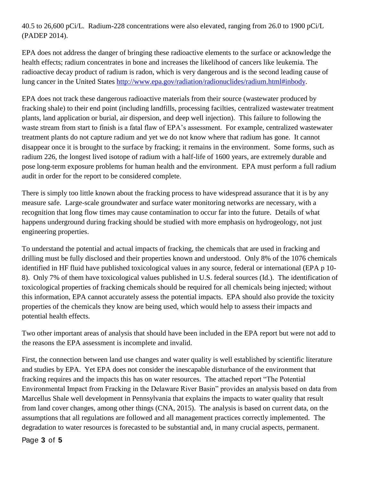40.5 to 26,600 pCi/L. Radium-228 concentrations were also elevated, ranging from 26.0 to 1900 pCi/L (PADEP 2014).

EPA does not address the danger of bringing these radioactive elements to the surface or acknowledge the health effects; radium concentrates in bone and increases the likelihood of cancers like leukemia. The radioactive decay product of radium is radon, which is very dangerous and is the second leading cause of lung cancer in the United States [http://www.epa.gov/radiation/radionuclides/radium.html#inbody.](http://www.epa.gov/radiation/radionuclides/radium.html#inbody)

EPA does not track these dangerous radioactive materials from their source (wastewater produced by fracking shale) to their end point (including landfills, processing facilties, centralized wastewater treatment plants, land application or burial, air dispersion, and deep well injection). This failure to following the waste stream from start to finish is a fatal flaw of EPA's assessment. For example, centralized wastewater treatment plants do not capture radium and yet we do not know where that radium has gone. It cannot disappear once it is brought to the surface by fracking; it remains in the environment. Some forms, such as radium 226, the longest lived isotope of radium with a half-life of 1600 years, are extremely durable and pose long-term exposure problems for human health and the environment. EPA must perform a full radium audit in order for the report to be considered complete.

There is simply too little known about the fracking process to have widespread assurance that it is by any measure safe. Large-scale groundwater and surface water monitoring networks are necessary, with a recognition that long flow times may cause contamination to occur far into the future. Details of what happens underground during fracking should be studied with more emphasis on hydrogeology, not just engineering properties.

To understand the potential and actual impacts of fracking, the chemicals that are used in fracking and drilling must be fully disclosed and their properties known and understood. Only 8% of the 1076 chemicals identified in HF fluid have published toxicological values in any source, federal or international (EPA p 10- 8). Only 7% of them have toxicological values published in U.S. federal sources (Id.). The identification of toxicological properties of fracking chemicals should be required for all chemicals being injected; without this information, EPA cannot accurately assess the potential impacts. EPA should also provide the toxicity properties of the chemicals they know are being used, which would help to assess their impacts and potential health effects.

Two other important areas of analysis that should have been included in the EPA report but were not add to the reasons the EPA assessment is incomplete and invalid.

First, the connection between land use changes and water quality is well established by scientific literature and studies by EPA. Yet EPA does not consider the inescapable disturbance of the environment that fracking requires and the impacts this has on water resources. The attached report "The Potential Environmental Impact from Fracking in the Delaware River Basin" provides an analysis based on data from Marcellus Shale well development in Pennsylvania that explains the impacts to water quality that result from land cover changes, among other things (CNA, 2015). The analysis is based on current data, on the assumptions that all regulations are followed and all management practices correctly implemented. The degradation to water resources is forecasted to be substantial and, in many crucial aspects, permanent.

Page **3** of **5**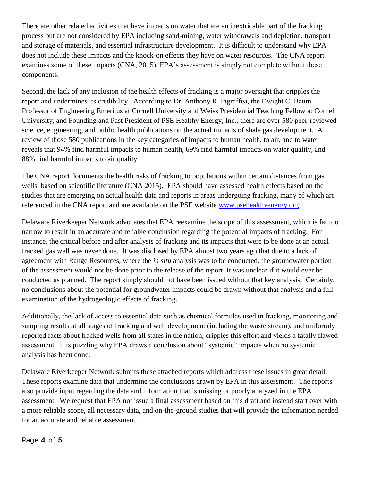There are other related activities that have impacts on water that are an inextricable part of the fracking process but are not considered by EPA including sand-mining, water withdrawals and depletion, transport and storage of materials, and essential infrastructure development. It is difficult to understand why EPA does not include these impacts and the knock-on effects they have on water resources. The CNA report examines some of these impacts (CNA, 2015). EPA's assessment is simply not complete without these components.

Second, the lack of any inclusion of the health effects of fracking is a major oversight that cripples the report and undermines its credibility. According to Dr. Anthony R. Ingraffea, the Dwight C. Baum Professor of Engineering Emeritus at Cornell University and Weiss Presidential Teaching Fellow at Cornell University, and Founding and Past President of PSE Healthy Energy, Inc., there are over 580 peer-reviewed science, engineering, and public health publications on the actual impacts of shale gas development. A review of those 580 publications in the key categories of impacts to human health, to air, and to water reveals that 94% find harmful impacts to human health, 69% find harmful impacts on water quality, and 88% find harmful impacts to air quality.

The CNA report documents the health risks of fracking to populations within certain distances from gas wells, based on scientific literature (CNA 2015). EPA should have assessed health effects based on the studies that are emerging on actual health data and reports in areas undergoing fracking, many of which are referenced in the CNA report and are available on the PSE website [www.psehealthyenergy.org.](http://www.psehealthyenergy.org/)

Delaware Riverkeeper Network advocates that EPA reexamine the scope of this assessment, which is far too narrow to result in an accurate and reliable conclusion regarding the potential impacts of fracking. For instance, the critical before and after analysis of fracking and its impacts that were to be done at an actual fracked gas well was never done. It was disclosed by EPA almost two years ago that due to a lack of agreement with Range Resources, where the *in situ* analysis was to be conducted, the groundwater portion of the assessment would not be done prior to the release of the report. It was unclear if it would ever be conducted as planned. The report simply should not have been issued without that key analysis. Certainly, no conclusions about the potential for groundwater impacts could be drawn without that analysis and a full examination of the hydrogeologic effects of fracking.

Additionally, the lack of access to essential data such as chemical formulas used in fracking, monitoring and sampling results at all stages of fracking and well development (including the waste stream), and uniformly reported facts about fracked wells from all states in the nation, cripples this effort and yields a fatally flawed assessment. It is puzzling why EPA draws a conclusion about "systemic" impacts when no systemic analysis has been done.

Delaware Riverkeeper Network submits these attached reports which address these issues in great detail. These reports examine data that undermine the conclusions drawn by EPA in this assessment. The reports also provide input regarding the data and information that is missing or poorly analyzed in the EPA assessment. We request that EPA not issue a final assessment based on this draft and instead start over with a more reliable scope, all necessary data, and on-the-ground studies that will provide the information needed for an accurate and reliable assessment.

Page **4** of **5**